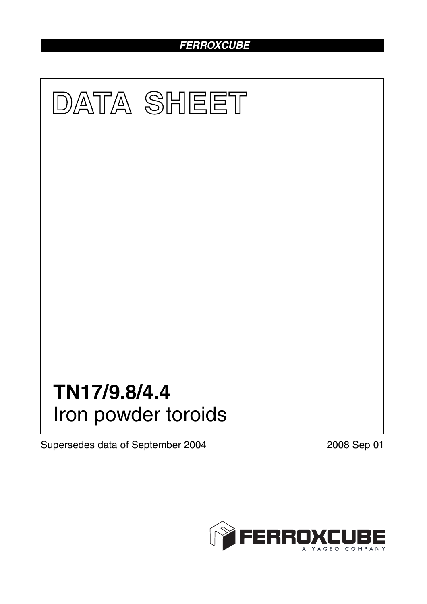# *FERROXCUBE*



Supersedes data of September 2004 2008 Sep 01

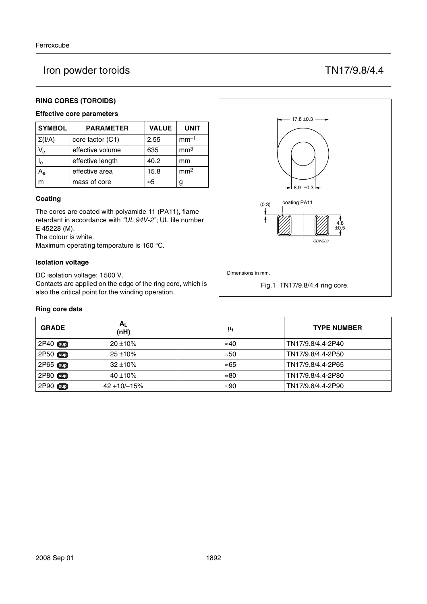# Iron powder toroids TN17/9.8/4.4

# **RING CORES (TOROIDS)**

# **Effective core parameters**

| <b>SYMBOL</b>  | <b>PARAMETER</b> | <b>VALUE</b> | <b>UNIT</b>     |
|----------------|------------------|--------------|-----------------|
| $\Sigma(I/A)$  | core factor (C1) | 2.55         | $mm-1$          |
| V <sub>e</sub> | effective volume | 635          | mm <sup>3</sup> |
| l <sub>e</sub> | effective length | 40.2         | mm              |
|                | effective area   | 15.8         | mm <sup>2</sup> |
| m              | mass of core     | $\approx 5$  | g               |

### **Coating**

The cores are coated with polyamide 11 (PA11), flame retardant in accordance with *"UL 94V-2"*; UL file number E 45228 (M).

The colour is white.

Maximum operating temperature is 160 °C.

### **Isolation voltage**

DC isolation voltage: 1500 V.

Contacts are applied on the edge of the ring core, which is also the critical point for the winding operation.

### **Ring core data**

| <b>GRADE</b> | $A_L$<br>(nH)    | μi           | <b>TYPE NUMBER</b> |
|--------------|------------------|--------------|--------------------|
| 2P40 sup     | $20 \pm 10\%$    | $\approx 40$ | TN17/9.8/4.4-2P40  |
| 2P50 Sup     | $25 + 10%$       | $\approx 50$ | TN17/9.8/4.4-2P50  |
| 2P65 sup     | $32 \pm 10\%$    | $\approx 65$ | TN17/9.8/4.4-2P65  |
| 2P80 sup     | 40 ±10%          | $\approx 80$ | TN17/9.8/4.4-2P80  |
| 2P90 sup     | $42 + 10/ - 15%$ | $\approx 90$ | TN17/9.8/4.4-2P90  |